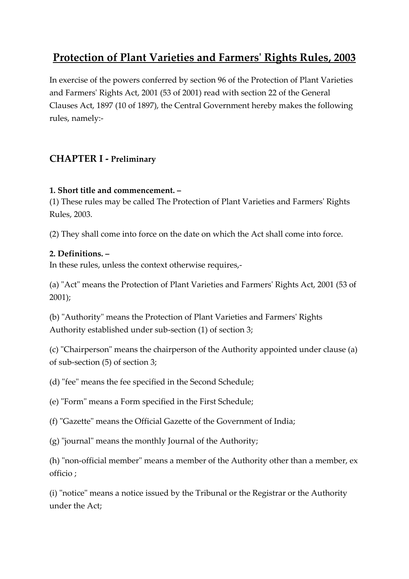# **Protection of Plant Varieties and Farmers' Rights Rules, 2003**

In exercise of the powers conferred by section 96 of the Protection of Plant Varieties and Farmers' Rights Act, 2001 (53 of 2001) read with section 22 of the General Clauses Act, 1897 (10 of 1897), the Central Government hereby makes the following rules, namely:-

# **CHAPTER I - Preliminary**

### **1. Short title and commencement. –**

(1) These rules may be called The Protection of Plant Varieties and Farmers' Rights Rules, 2003.

(2) They shall come into force on the date on which the Act shall come into force.

### **2. Definitions. –**

In these rules, unless the context otherwise requires,-

(a) "Act" means the Protection of Plant Varieties and Farmers' Rights Act, 2001 (53 of 2001);

(b) "Authority" means the Protection of Plant Varieties and Farmers' Rights Authority established under sub-section (1) of section 3;

(c) "Chairperson" means the chairperson of the Authority appointed under clause (a) of sub-section (5) of section 3;

(d) "fee" means the fee specified in the Second Schedule;

(e) "Form" means a Form specified in the First Schedule;

(f) "Gazette" means the Official Gazette of the Government of India;

(g) "journal" means the monthly Journal of the Authority;

(h) "non-official member" means a member of the Authority other than a member, ex officio ;

(i) "notice" means a notice issued by the Tribunal or the Registrar or the Authority under the Act;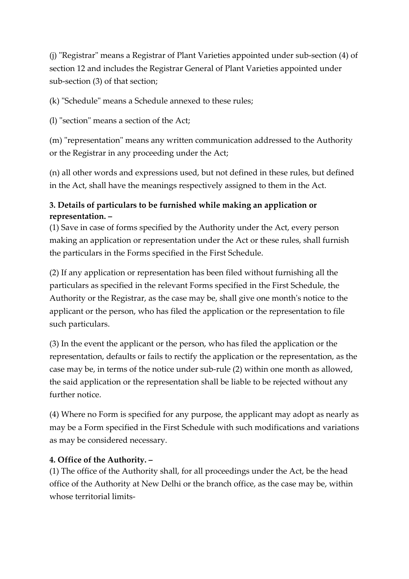(j) "Registrar" means a Registrar of Plant Varieties appointed under sub-section (4) of section 12 and includes the Registrar General of Plant Varieties appointed under sub-section (3) of that section;

(k) "Schedule" means a Schedule annexed to these rules;

(l) "section" means a section of the Act;

(m) "representation" means any written communication addressed to the Authority or the Registrar in any proceeding under the Act;

(n) all other words and expressions used, but not defined in these rules, but defined in the Act, shall have the meanings respectively assigned to them in the Act.

# **3. Details of particulars to be furnished while making an application or representation. –**

(1) Save in case of forms specified by the Authority under the Act, every person making an application or representation under the Act or these rules, shall furnish the particulars in the Forms specified in the First Schedule.

(2) If any application or representation has been filed without furnishing all the particulars as specified in the relevant Forms specified in the First Schedule, the Authority or the Registrar, as the case may be, shall give one month's notice to the applicant or the person, who has filed the application or the representation to file such particulars.

(3) In the event the applicant or the person, who has filed the application or the representation, defaults or fails to rectify the application or the representation, as the case may be, in terms of the notice under sub-rule (2) within one month as allowed, the said application or the representation shall be liable to be rejected without any further notice.

(4) Where no Form is specified for any purpose, the applicant may adopt as nearly as may be a Form specified in the First Schedule with such modifications and variations as may be considered necessary.

### **4. Office of the Authority. –**

(1) The office of the Authority shall, for all proceedings under the Act, be the head office of the Authority at New Delhi or the branch office, as the case may be, within whose territorial limits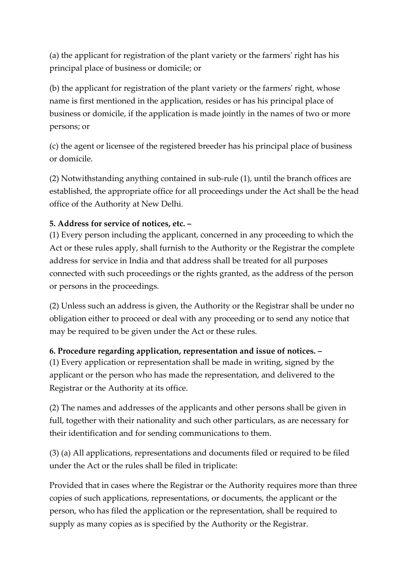(a) the applicant for registration of the plant variety or the farmers' right has his principal place of business or domicile; or

(b) the applicant for registration of the plant variety or the farmers' right, whose name is first mentioned in the application, resides or has his principal place of business or domicile, if the application is made jointly in the names of two or more persons; or

(c) the agent or licensee of the registered breeder has his principal place of business or domicile.

(2) Notwithstanding anything contained in sub-rule (1), until the branch offices are established, the appropriate office for all proceedings under the Act shall be the head office of the Authority at New Delhi.

### **5. Address for service of notices, etc. –**

(1) Every person including the applicant, concerned in any proceeding to which the Act or these rules apply, shall furnish to the Authority or the Registrar the complete address for service in India and that address shall be treated for all purposes connected with such proceedings or the rights granted, as the address of the person or persons in the proceedings.

(2) Unless such an address is given, the Authority or the Registrar shall be under no obligation either to proceed or deal with any proceeding or to send any notice that may be required to be given under the Act or these rules.

#### **6. Procedure regarding application, representation and issue of notices. –**

(1) Every application or representation shall be made in writing, signed by the applicant or the person who has made the representation, and delivered to the Registrar or the Authority at its office.

(2) The names and addresses of the applicants and other persons shall be given in full, together with their nationality and such other particulars, as are necessary for their identification and for sending communications to them.

(3) (a) All applications, representations and documents filed or required to be filed under the Act or the rules shall be filed in triplicate:

Provided that in cases where the Registrar or the Authority requires more than three copies of such applications, representations, or documents, the applicant or the person, who has filed the application or the representation, shall be required to supply as many copies as is specified by the Authority or the Registrar.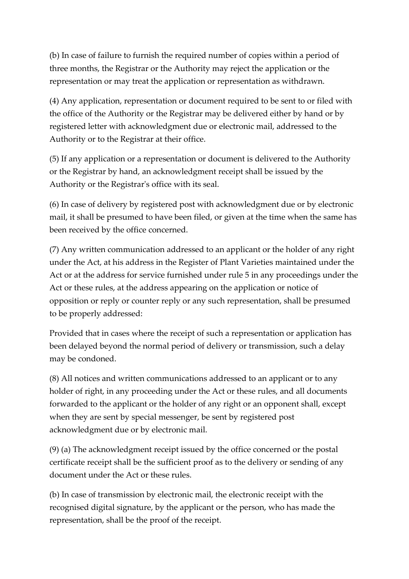(b) In case of failure to furnish the required number of copies within a period of three months, the Registrar or the Authority may reject the application or the representation or may treat the application or representation as withdrawn.

(4) Any application, representation or document required to be sent to or filed with the office of the Authority or the Registrar may be delivered either by hand or by registered letter with acknowledgment due or electronic mail, addressed to the Authority or to the Registrar at their office.

(5) If any application or a representation or document is delivered to the Authority or the Registrar by hand, an acknowledgment receipt shall be issued by the Authority or the Registrar's office with its seal.

(6) In case of delivery by registered post with acknowledgment due or by electronic mail, it shall be presumed to have been filed, or given at the time when the same has been received by the office concerned.

(7) Any written communication addressed to an applicant or the holder of any right under the Act, at his address in the Register of Plant Varieties maintained under the Act or at the address for service furnished under rule 5 in any proceedings under the Act or these rules, at the address appearing on the application or notice of opposition or reply or counter reply or any such representation, shall be presumed to be properly addressed:

Provided that in cases where the receipt of such a representation or application has been delayed beyond the normal period of delivery or transmission, such a delay may be condoned.

(8) All notices and written communications addressed to an applicant or to any holder of right, in any proceeding under the Act or these rules, and all documents forwarded to the applicant or the holder of any right or an opponent shall, except when they are sent by special messenger, be sent by registered post acknowledgment due or by electronic mail.

(9) (a) The acknowledgment receipt issued by the office concerned or the postal certificate receipt shall be the sufficient proof as to the delivery or sending of any document under the Act or these rules.

(b) In case of transmission by electronic mail, the electronic receipt with the recognised digital signature, by the applicant or the person, who has made the representation, shall be the proof of the receipt.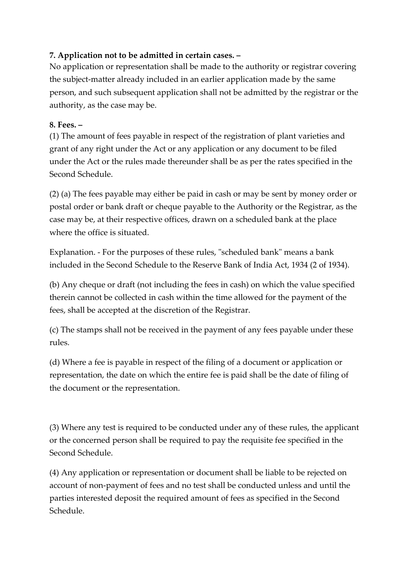### **7. Application not to be admitted in certain cases. –**

No application or representation shall be made to the authority or registrar covering the subject-matter already included in an earlier application made by the same person, and such subsequent application shall not be admitted by the registrar or the authority, as the case may be.

### **8. Fees. –**

(1) The amount of fees payable in respect of the registration of plant varieties and grant of any right under the Act or any application or any document to be filed under the Act or the rules made thereunder shall be as per the rates specified in the Second Schedule.

(2) (a) The fees payable may either be paid in cash or may be sent by money order or postal order or bank draft or cheque payable to the Authority or the Registrar, as the case may be, at their respective offices, drawn on a scheduled bank at the place where the office is situated.

Explanation. - For the purposes of these rules, "scheduled bank" means a bank included in the Second Schedule to the Reserve Bank of India Act, 1934 (2 of 1934).

(b) Any cheque or draft (not including the fees in cash) on which the value specified therein cannot be collected in cash within the time allowed for the payment of the fees, shall be accepted at the discretion of the Registrar.

(c) The stamps shall not be received in the payment of any fees payable under these rules.

(d) Where a fee is payable in respect of the filing of a document or application or representation, the date on which the entire fee is paid shall be the date of filing of the document or the representation.

(3) Where any test is required to be conducted under any of these rules, the applicant or the concerned person shall be required to pay the requisite fee specified in the Second Schedule.

(4) Any application or representation or document shall be liable to be rejected on account of non-payment of fees and no test shall be conducted unless and until the parties interested deposit the required amount of fees as specified in the Second Schedule.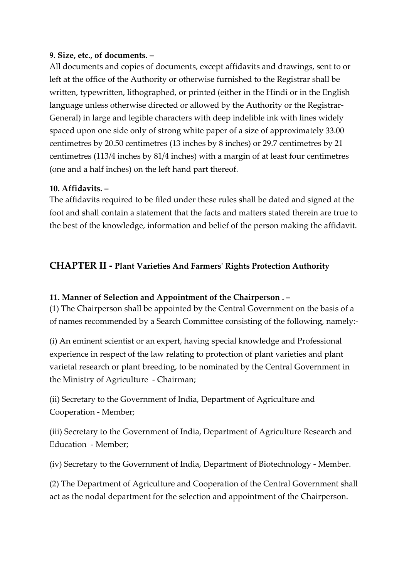#### **9. Size, etc., of documents. –**

All documents and copies of documents, except affidavits and drawings, sent to or left at the office of the Authority or otherwise furnished to the Registrar shall be written, typewritten, lithographed, or printed (either in the Hindi or in the English language unless otherwise directed or allowed by the Authority or the Registrar-General) in large and legible characters with deep indelible ink with lines widely spaced upon one side only of strong white paper of a size of approximately 33.00 centimetres by 20.50 centimetres (13 inches by 8 inches) or 29.7 centimetres by 21 centimetres (113/4 inches by 81/4 inches) with a margin of at least four centimetres (one and a half inches) on the left hand part thereof.

#### **10. Affidavits. –**

The affidavits required to be filed under these rules shall be dated and signed at the foot and shall contain a statement that the facts and matters stated therein are true to the best of the knowledge, information and belief of the person making the affidavit.

### **CHAPTER II - Plant Varieties And Farmers' Rights Protection Authority**

#### **11. Manner of Selection and Appointment of the Chairperson . –**

(1) The Chairperson shall be appointed by the Central Government on the basis of a of names recommended by a Search Committee consisting of the following, namely:-

(i) An eminent scientist or an expert, having special knowledge and Professional experience in respect of the law relating to protection of plant varieties and plant varietal research or plant breeding, to be nominated by the Central Government in the Ministry of Agriculture - Chairman;

(ii) Secretary to the Government of India, Department of Agriculture and Cooperation - Member;

(iii) Secretary to the Government of India, Department of Agriculture Research and Education - Member;

(iv) Secretary to the Government of India, Department of Biotechnology - Member.

(2) The Department of Agriculture and Cooperation of the Central Government shall act as the nodal department for the selection and appointment of the Chairperson.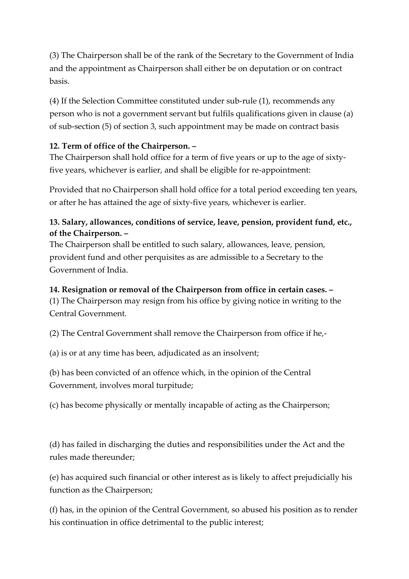(3) The Chairperson shall be of the rank of the Secretary to the Government of India and the appointment as Chairperson shall either be on deputation or on contract basis.

(4) If the Selection Committee constituted under sub-rule (1), recommends any person who is not a government servant but fulfils qualifications given in clause (a) of sub-section (5) of section 3, such appointment may be made on contract basis

### **12. Term of office of the Chairperson. –**

The Chairperson shall hold office for a term of five years or up to the age of sixtyfive years, whichever is earlier, and shall be eligible for re-appointment:

Provided that no Chairperson shall hold office for a total period exceeding ten years, or after he has attained the age of sixty-five years, whichever is earlier.

### **13. Salary, allowances, conditions of service, leave, pension, provident fund, etc., of the Chairperson. –**

The Chairperson shall be entitled to such salary, allowances, leave, pension, provident fund and other perquisites as are admissible to a Secretary to the Government of India.

### **14. Resignation or removal of the Chairperson from office in certain cases. –**

(1) The Chairperson may resign from his office by giving notice in writing to the Central Government.

(2) The Central Government shall remove the Chairperson from office if he,-

(a) is or at any time has been, adjudicated as an insolvent;

(b) has been convicted of an offence which, in the opinion of the Central Government, involves moral turpitude;

(c) has become physically or mentally incapable of acting as the Chairperson;

(d) has failed in discharging the duties and responsibilities under the Act and the rules made thereunder;

(e) has acquired such financial or other interest as is likely to affect prejudicially his function as the Chairperson;

(f) has, in the opinion of the Central Government, so abused his position as to render his continuation in office detrimental to the public interest;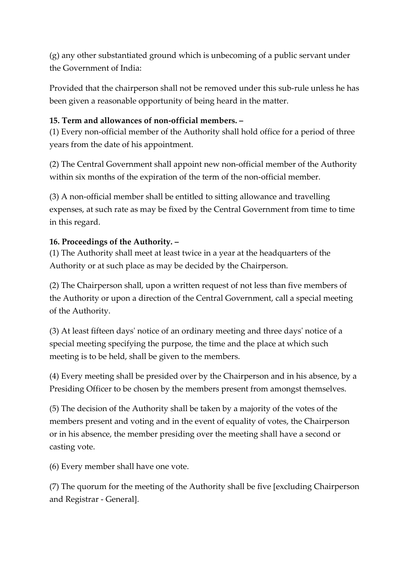(g) any other substantiated ground which is unbecoming of a public servant under the Government of India:

Provided that the chairperson shall not be removed under this sub-rule unless he has been given a reasonable opportunity of being heard in the matter.

### **15. Term and allowances of non-official members. –**

(1) Every non-official member of the Authority shall hold office for a period of three years from the date of his appointment.

(2) The Central Government shall appoint new non-official member of the Authority within six months of the expiration of the term of the non-official member.

(3) A non-official member shall be entitled to sitting allowance and travelling expenses, at such rate as may be fixed by the Central Government from time to time in this regard.

### **16. Proceedings of the Authority. –**

(1) The Authority shall meet at least twice in a year at the headquarters of the Authority or at such place as may be decided by the Chairperson.

(2) The Chairperson shall, upon a written request of not less than five members of the Authority or upon a direction of the Central Government, call a special meeting of the Authority.

(3) At least fifteen days' notice of an ordinary meeting and three days' notice of a special meeting specifying the purpose, the time and the place at which such meeting is to be held, shall be given to the members.

(4) Every meeting shall be presided over by the Chairperson and in his absence, by a Presiding Officer to be chosen by the members present from amongst themselves.

(5) The decision of the Authority shall be taken by a majority of the votes of the members present and voting and in the event of equality of votes, the Chairperson or in his absence, the member presiding over the meeting shall have a second or casting vote.

(6) Every member shall have one vote.

(7) The quorum for the meeting of the Authority shall be five [excluding Chairperson and Registrar - General].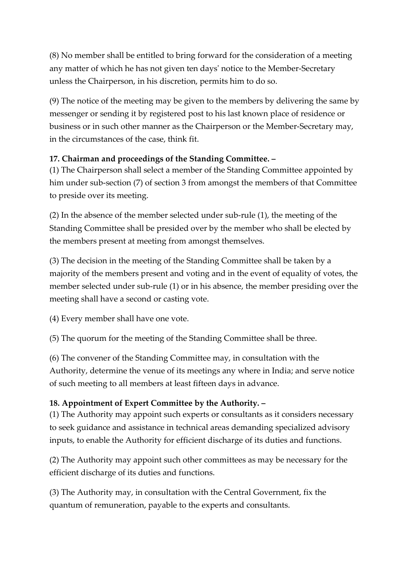(8) No member shall be entitled to bring forward for the consideration of a meeting any matter of which he has not given ten days' notice to the Member-Secretary unless the Chairperson, in his discretion, permits him to do so.

(9) The notice of the meeting may be given to the members by delivering the same by messenger or sending it by registered post to his last known place of residence or business or in such other manner as the Chairperson or the Member-Secretary may, in the circumstances of the case, think fit.

### **17. Chairman and proceedings of the Standing Committee. –**

(1) The Chairperson shall select a member of the Standing Committee appointed by him under sub-section (7) of section 3 from amongst the members of that Committee to preside over its meeting.

(2) In the absence of the member selected under sub-rule (1), the meeting of the Standing Committee shall be presided over by the member who shall be elected by the members present at meeting from amongst themselves.

(3) The decision in the meeting of the Standing Committee shall be taken by a majority of the members present and voting and in the event of equality of votes, the member selected under sub-rule (1) or in his absence, the member presiding over the meeting shall have a second or casting vote.

(4) Every member shall have one vote.

(5) The quorum for the meeting of the Standing Committee shall be three.

(6) The convener of the Standing Committee may, in consultation with the Authority, determine the venue of its meetings any where in India; and serve notice of such meeting to all members at least fifteen days in advance.

### **18. Appointment of Expert Committee by the Authority. –**

(1) The Authority may appoint such experts or consultants as it considers necessary to seek guidance and assistance in technical areas demanding specialized advisory inputs, to enable the Authority for efficient discharge of its duties and functions.

(2) The Authority may appoint such other committees as may be necessary for the efficient discharge of its duties and functions.

(3) The Authority may, in consultation with the Central Government, fix the quantum of remuneration, payable to the experts and consultants.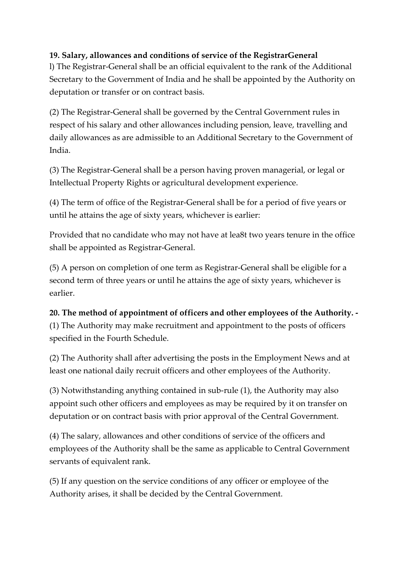### **19. Salary, allowances and conditions of service of the RegistrarGeneral**

l) The Registrar-General shall be an official equivalent to the rank of the Additional Secretary to the Government of India and he shall be appointed by the Authority on deputation or transfer or on contract basis.

(2) The Registrar-General shall be governed by the Central Government rules in respect of his salary and other allowances including pension, leave, travelling and daily allowances as are admissible to an Additional Secretary to the Government of India.

(3) The Registrar-General shall be a person having proven managerial, or legal or Intellectual Property Rights or agricultural development experience.

(4) The term of office of the Registrar-General shall be for a period of five years or until he attains the age of sixty years, whichever is earlier:

Provided that no candidate who may not have at lea8t two years tenure in the office shall be appointed as Registrar-General.

(5) A person on completion of one term as Registrar-General shall be eligible for a second term of three years or until he attains the age of sixty years, whichever is earlier.

# **20. The method of appointment of officers and other employees of the Authority. -** (1) The Authority may make recruitment and appointment to the posts of officers specified in the Fourth Schedule.

(2) The Authority shall after advertising the posts in the Employment News and at least one national daily recruit officers and other employees of the Authority.

(3) Notwithstanding anything contained in sub-rule (1), the Authority may also appoint such other officers and employees as may be required by it on transfer on deputation or on contract basis with prior approval of the Central Government.

(4) The salary, allowances and other conditions of service of the officers and employees of the Authority shall be the same as applicable to Central Government servants of equivalent rank.

(5) If any question on the service conditions of any officer or employee of the Authority arises, it shall be decided by the Central Government.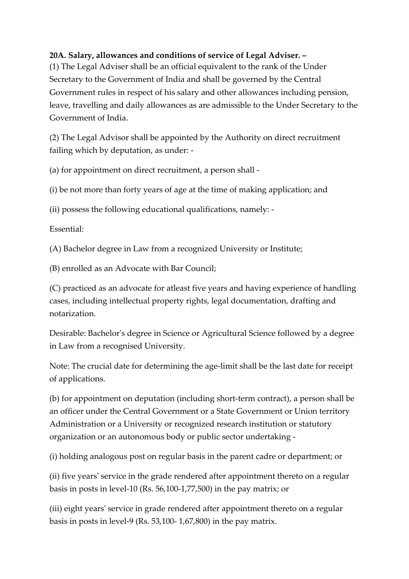### **20A. Salary, allowances and conditions of service of Legal Adviser. –**

(1) The Legal Adviser shall be an official equivalent to the rank of the Under Secretary to the Government of India and shall be governed by the Central Government rules in respect of his salary and other allowances including pension, leave, travelling and daily allowances as are admissible to the Under Secretary to the Government of India.

(2) The Legal Advisor shall be appointed by the Authority on direct recruitment failing which by deputation, as under: -

(a) for appointment on direct recruitment, a person shall -

(i) be not more than forty years of age at the time of making application; and

(ii) possess the following educational qualifications, namely: -

Essential:

(A) Bachelor degree in Law from a recognized University or Institute;

(B) enrolled as an Advocate with Bar Council;

(C) practiced as an advocate for atleast five years and having experience of handling cases, including intellectual property rights, legal documentation, drafting and notarization.

Desirable: Bachelor's degree in Science or Agricultural Science followed by a degree in Law from a recognised University.

Note: The crucial date for determining the age-limit shall be the last date for receipt of applications.

(b) for appointment on deputation (including short-term contract), a person shall be an officer under the Central Government or a State Government or Union territory Administration or a University or recognized research institution or statutory organization or an autonomous body or public sector undertaking -

(i) holding analogous post on regular basis in the parent cadre or department; or

(ii) five years' service in the grade rendered after appointment thereto on a regular basis in posts in level-10 (Rs. 56,100-1,77,500) in the pay matrix; or

(iii) eight years' service in grade rendered after appointment thereto on a regular basis in posts in level-9 (Rs. 53,100- 1,67,800) in the pay matrix.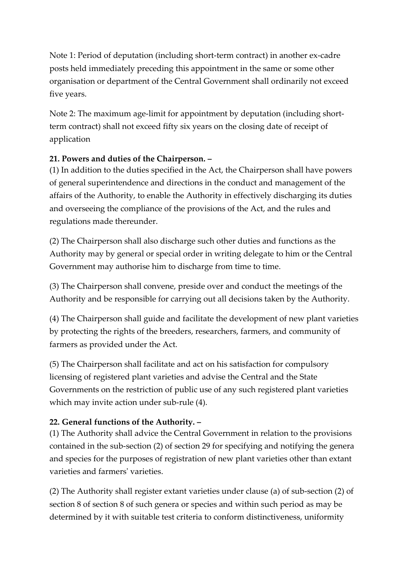Note 1: Period of deputation (including short-term contract) in another ex-cadre posts held immediately preceding this appointment in the same or some other organisation or department of the Central Government shall ordinarily not exceed five years.

Note 2: The maximum age-limit for appointment by deputation (including shortterm contract) shall not exceed fifty six years on the closing date of receipt of application

### **21. Powers and duties of the Chairperson. –**

(1) In addition to the duties specified in the Act, the Chairperson shall have powers of general superintendence and directions in the conduct and management of the affairs of the Authority, to enable the Authority in effectively discharging its duties and overseeing the compliance of the provisions of the Act, and the rules and regulations made thereunder.

(2) The Chairperson shall also discharge such other duties and functions as the Authority may by general or special order in writing delegate to him or the Central Government may authorise him to discharge from time to time.

(3) The Chairperson shall convene, preside over and conduct the meetings of the Authority and be responsible for carrying out all decisions taken by the Authority.

(4) The Chairperson shall guide and facilitate the development of new plant varieties by protecting the rights of the breeders, researchers, farmers, and community of farmers as provided under the Act.

(5) The Chairperson shall facilitate and act on his satisfaction for compulsory licensing of registered plant varieties and advise the Central and the State Governments on the restriction of public use of any such registered plant varieties which may invite action under sub-rule (4).

# **22. General functions of the Authority. –**

(1) The Authority shall advice the Central Government in relation to the provisions contained in the sub-section (2) of section 29 for specifying and notifying the genera and species for the purposes of registration of new plant varieties other than extant varieties and farmers' varieties.

(2) The Authority shall register extant varieties under clause (a) of sub-section (2) of section 8 of section 8 of such genera or species and within such period as may be determined by it with suitable test criteria to conform distinctiveness, uniformity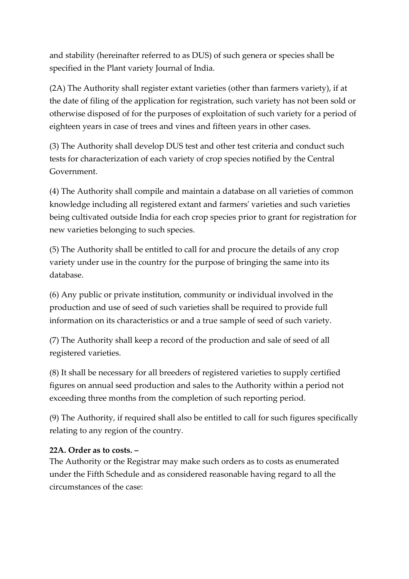and stability (hereinafter referred to as DUS) of such genera or species shall be specified in the Plant variety Journal of India.

(2A) The Authority shall register extant varieties (other than farmers variety), if at the date of filing of the application for registration, such variety has not been sold or otherwise disposed of for the purposes of exploitation of such variety for a period of eighteen years in case of trees and vines and fifteen years in other cases.

(3) The Authority shall develop DUS test and other test criteria and conduct such tests for characterization of each variety of crop species notified by the Central Government.

(4) The Authority shall compile and maintain a database on all varieties of common knowledge including all registered extant and farmers' varieties and such varieties being cultivated outside India for each crop species prior to grant for registration for new varieties belonging to such species.

(5) The Authority shall be entitled to call for and procure the details of any crop variety under use in the country for the purpose of bringing the same into its database.

(6) Any public or private institution, community or individual involved in the production and use of seed of such varieties shall be required to provide full information on its characteristics or and a true sample of seed of such variety.

(7) The Authority shall keep a record of the production and sale of seed of all registered varieties.

(8) It shall be necessary for all breeders of registered varieties to supply certified figures on annual seed production and sales to the Authority within a period not exceeding three months from the completion of such reporting period.

(9) The Authority, if required shall also be entitled to call for such figures specifically relating to any region of the country.

#### **22A. Order as to costs. –**

The Authority or the Registrar may make such orders as to costs as enumerated under the Fifth Schedule and as considered reasonable having regard to all the circumstances of the case: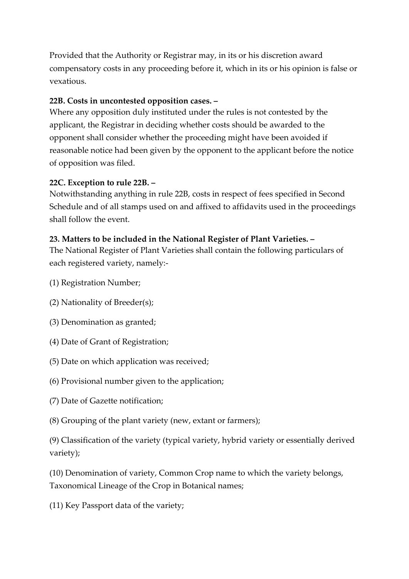Provided that the Authority or Registrar may, in its or his discretion award compensatory costs in any proceeding before it, which in its or his opinion is false or vexatious.

### **22B. Costs in uncontested opposition cases. –**

Where any opposition duly instituted under the rules is not contested by the applicant, the Registrar in deciding whether costs should be awarded to the opponent shall consider whether the proceeding might have been avoided if reasonable notice had been given by the opponent to the applicant before the notice of opposition was filed.

### **22C. Exception to rule 22B. –**

Notwithstanding anything in rule 22B, costs in respect of fees specified in Second Schedule and of all stamps used on and affixed to affidavits used in the proceedings shall follow the event.

### **23. Matters to be included in the National Register of Plant Varieties. –**

The National Register of Plant Varieties shall contain the following particulars of each registered variety, namely:-

- (1) Registration Number;
- (2) Nationality of Breeder(s);
- (3) Denomination as granted;
- (4) Date of Grant of Registration;
- (5) Date on which application was received;
- (6) Provisional number given to the application;
- (7) Date of Gazette notification;
- (8) Grouping of the plant variety (new, extant or farmers);

(9) Classification of the variety (typical variety, hybrid variety or essentially derived variety);

(10) Denomination of variety, Common Crop name to which the variety belongs, Taxonomical Lineage of the Crop in Botanical names;

(11) Key Passport data of the variety;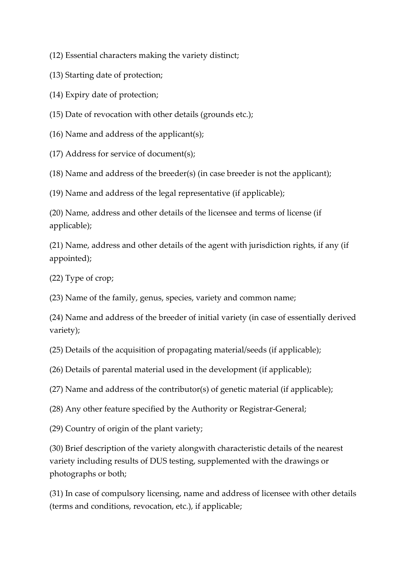(12) Essential characters making the variety distinct;

(13) Starting date of protection;

(14) Expiry date of protection;

(15) Date of revocation with other details (grounds etc.);

(16) Name and address of the applicant(s);

(17) Address for service of document(s);

(18) Name and address of the breeder(s) (in case breeder is not the applicant);

(19) Name and address of the legal representative (if applicable);

(20) Name, address and other details of the licensee and terms of license (if applicable);

(21) Name, address and other details of the agent with jurisdiction rights, if any (if appointed);

(22) Type of crop;

(23) Name of the family, genus, species, variety and common name;

(24) Name and address of the breeder of initial variety (in case of essentially derived variety);

(25) Details of the acquisition of propagating material/seeds (if applicable);

(26) Details of parental material used in the development (if applicable);

(27) Name and address of the contributor(s) of genetic material (if applicable);

(28) Any other feature specified by the Authority or Registrar-General;

(29) Country of origin of the plant variety;

(30) Brief description of the variety alongwith characteristic details of the nearest variety including results of DUS testing, supplemented with the drawings or photographs or both;

(31) In case of compulsory licensing, name and address of licensee with other details (terms and conditions, revocation, etc.), if applicable;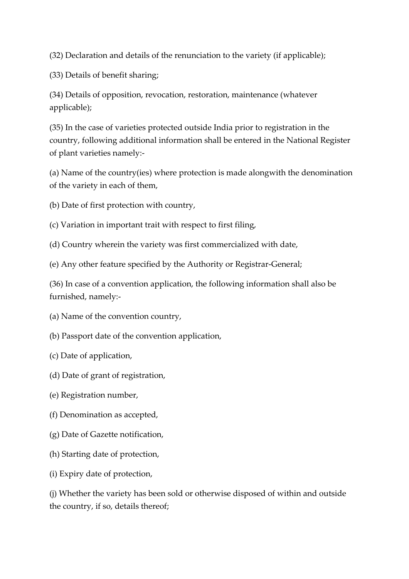(32) Declaration and details of the renunciation to the variety (if applicable);

(33) Details of benefit sharing;

(34) Details of opposition, revocation, restoration, maintenance (whatever applicable);

(35) In the case of varieties protected outside India prior to registration in the country, following additional information shall be entered in the National Register of plant varieties namely:-

(a) Name of the country(ies) where protection is made alongwith the denomination of the variety in each of them,

(b) Date of first protection with country,

(c) Variation in important trait with respect to first filing,

(d) Country wherein the variety was first commercialized with date,

(e) Any other feature specified by the Authority or Registrar-General;

(36) In case of a convention application, the following information shall also be furnished, namely:-

(a) Name of the convention country,

(b) Passport date of the convention application,

(c) Date of application,

(d) Date of grant of registration,

(e) Registration number,

(f) Denomination as accepted,

(g) Date of Gazette notification,

(h) Starting date of protection,

(i) Expiry date of protection,

(j) Whether the variety has been sold or otherwise disposed of within and outside the country, if so, details thereof;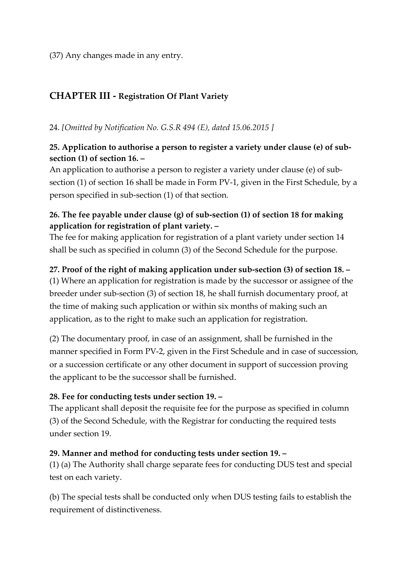### (37) Any changes made in any entry.

# **CHAPTER III - Registration Of Plant Variety**

24. *[Omitted by Notification No. G.S.R 494 (E), dated 15.06.2015 ]*

### **25. Application to authorise a person to register a variety under clause (e) of subsection (1) of section 16. –**

An application to authorise a person to register a variety under clause (e) of subsection (1) of section 16 shall be made in Form PV-1, given in the First Schedule, by a person specified in sub-section (1) of that section.

### **26. The fee payable under clause (g) of sub-section (1) of section 18 for making application for registration of plant variety. –**

The fee for making application for registration of a plant variety under section 14 shall be such as specified in column (3) of the Second Schedule for the purpose.

#### **27. Proof of the right of making application under sub-section (3) of section 18. –**

(1) Where an application for registration is made by the successor or assignee of the breeder under sub-section (3) of section 18, he shall furnish documentary proof, at the time of making such application or within six months of making such an application, as to the right to make such an application for registration.

(2) The documentary proof, in case of an assignment, shall be furnished in the manner specified in Form PV-2, given in the First Schedule and in case of succession, or a succession certificate or any other document in support of succession proving the applicant to be the successor shall be furnished.

#### **28. Fee for conducting tests under section 19. –**

The applicant shall deposit the requisite fee for the purpose as specified in column (3) of the Second Schedule, with the Registrar for conducting the required tests under section 19.

#### **29. Manner and method for conducting tests under section 19. –**

(1) (a) The Authority shall charge separate fees for conducting DUS test and special test on each variety.

(b) The special tests shall be conducted only when DUS testing fails to establish the requirement of distinctiveness.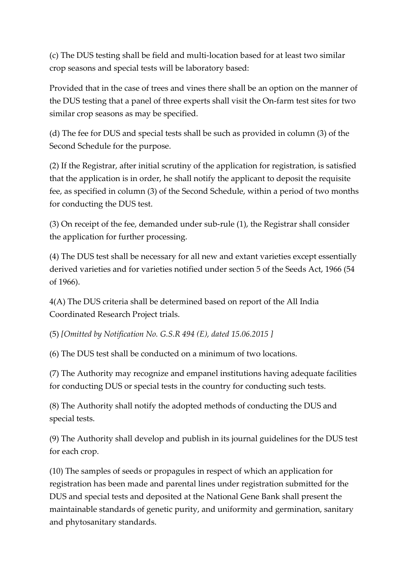(c) The DUS testing shall be field and multi-location based for at least two similar crop seasons and special tests will be laboratory based:

Provided that in the case of trees and vines there shall be an option on the manner of the DUS testing that a panel of three experts shall visit the On-farm test sites for two similar crop seasons as may be specified.

(d) The fee for DUS and special tests shall be such as provided in column (3) of the Second Schedule for the purpose.

(2) If the Registrar, after initial scrutiny of the application for registration, is satisfied that the application is in order, he shall notify the applicant to deposit the requisite fee, as specified in column (3) of the Second Schedule, within a period of two months for conducting the DUS test.

(3) On receipt of the fee, demanded under sub-rule (1), the Registrar shall consider the application for further processing.

(4) The DUS test shall be necessary for all new and extant varieties except essentially derived varieties and for varieties notified under section 5 of the Seeds Act, 1966 (54 of 1966).

4(A) The DUS criteria shall be determined based on report of the All India Coordinated Research Project trials.

(5) *[Omitted by Notification No. G.S.R 494 (E), dated 15.06.2015 ]*

(6) The DUS test shall be conducted on a minimum of two locations.

(7) The Authority may recognize and empanel institutions having adequate facilities for conducting DUS or special tests in the country for conducting such tests.

(8) The Authority shall notify the adopted methods of conducting the DUS and special tests.

(9) The Authority shall develop and publish in its journal guidelines for the DUS test for each crop.

(10) The samples of seeds or propagules in respect of which an application for registration has been made and parental lines under registration submitted for the DUS and special tests and deposited at the National Gene Bank shall present the maintainable standards of genetic purity, and uniformity and germination, sanitary and phytosanitary standards.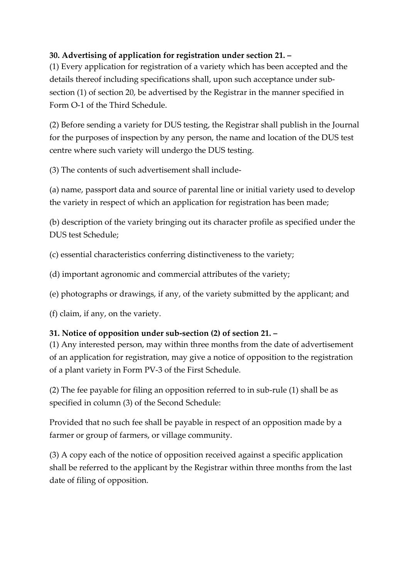# **30. Advertising of application for registration under section 21. –**

(1) Every application for registration of a variety which has been accepted and the details thereof including specifications shall, upon such acceptance under subsection (1) of section 20, be advertised by the Registrar in the manner specified in Form O-1 of the Third Schedule.

(2) Before sending a variety for DUS testing, the Registrar shall publish in the Journal for the purposes of inspection by any person, the name and location of the DUS test centre where such variety will undergo the DUS testing.

(3) The contents of such advertisement shall include-

(a) name, passport data and source of parental line or initial variety used to develop the variety in respect of which an application for registration has been made;

(b) description of the variety bringing out its character profile as specified under the DUS test Schedule;

(c) essential characteristics conferring distinctiveness to the variety;

(d) important agronomic and commercial attributes of the variety;

(e) photographs or drawings, if any, of the variety submitted by the applicant; and

(f) claim, if any, on the variety.

### **31. Notice of opposition under sub-section (2) of section 21. –**

(1) Any interested person, may within three months from the date of advertisement of an application for registration, may give a notice of opposition to the registration of a plant variety in Form PV-3 of the First Schedule.

(2) The fee payable for filing an opposition referred to in sub-rule (1) shall be as specified in column (3) of the Second Schedule:

Provided that no such fee shall be payable in respect of an opposition made by a farmer or group of farmers, or village community.

(3) A copy each of the notice of opposition received against a specific application shall be referred to the applicant by the Registrar within three months from the last date of filing of opposition.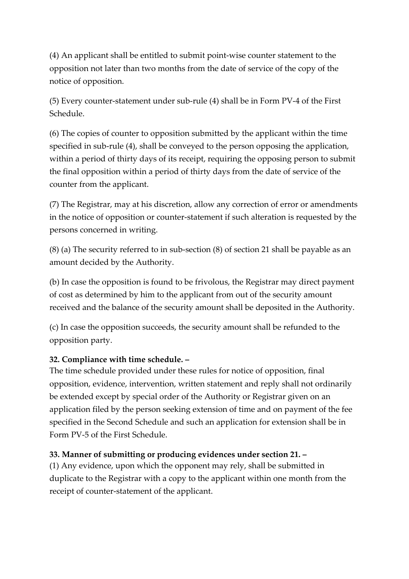(4) An applicant shall be entitled to submit point-wise counter statement to the opposition not later than two months from the date of service of the copy of the notice of opposition.

(5) Every counter-statement under sub-rule (4) shall be in Form PV-4 of the First Schedule.

(6) The copies of counter to opposition submitted by the applicant within the time specified in sub-rule (4), shall be conveyed to the person opposing the application, within a period of thirty days of its receipt, requiring the opposing person to submit the final opposition within a period of thirty days from the date of service of the counter from the applicant.

(7) The Registrar, may at his discretion, allow any correction of error or amendments in the notice of opposition or counter-statement if such alteration is requested by the persons concerned in writing.

(8) (a) The security referred to in sub-section (8) of section 21 shall be payable as an amount decided by the Authority.

(b) In case the opposition is found to be frivolous, the Registrar may direct payment of cost as determined by him to the applicant from out of the security amount received and the balance of the security amount shall be deposited in the Authority.

(c) In case the opposition succeeds, the security amount shall be refunded to the opposition party.

### **32. Compliance with time schedule. –**

The time schedule provided under these rules for notice of opposition, final opposition, evidence, intervention, written statement and reply shall not ordinarily be extended except by special order of the Authority or Registrar given on an application filed by the person seeking extension of time and on payment of the fee specified in the Second Schedule and such an application for extension shall be in Form PV-5 of the First Schedule.

### **33. Manner of submitting or producing evidences under section 21. –**

(1) Any evidence, upon which the opponent may rely, shall be submitted in duplicate to the Registrar with a copy to the applicant within one month from the receipt of counter-statement of the applicant.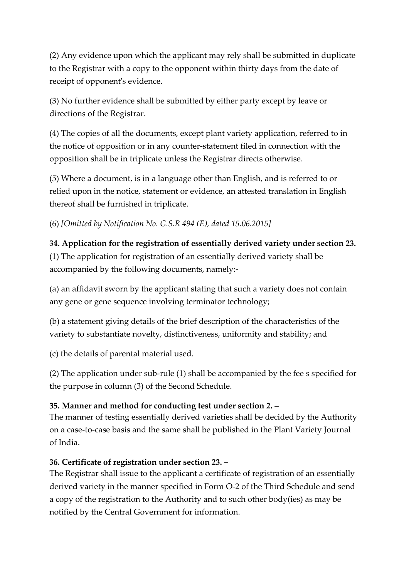(2) Any evidence upon which the applicant may rely shall be submitted in duplicate to the Registrar with a copy to the opponent within thirty days from the date of receipt of opponent's evidence.

(3) No further evidence shall be submitted by either party except by leave or directions of the Registrar.

(4) The copies of all the documents, except plant variety application, referred to in the notice of opposition or in any counter-statement filed in connection with the opposition shall be in triplicate unless the Registrar directs otherwise.

(5) Where a document, is in a language other than English, and is referred to or relied upon in the notice, statement or evidence, an attested translation in English thereof shall be furnished in triplicate.

(6) *[Omitted by Notification No. G.S.R 494 (E), dated 15.06.2015]*

# **34. Application for the registration of essentially derived variety under section 23.**

(1) The application for registration of an essentially derived variety shall be accompanied by the following documents, namely:-

(a) an affidavit sworn by the applicant stating that such a variety does not contain any gene or gene sequence involving terminator technology;

(b) a statement giving details of the brief description of the characteristics of the variety to substantiate novelty, distinctiveness, uniformity and stability; and

(c) the details of parental material used.

(2) The application under sub-rule (1) shall be accompanied by the fee s specified for the purpose in column (3) of the Second Schedule.

### **35. Manner and method for conducting test under section 2. –**

The manner of testing essentially derived varieties shall be decided by the Authority on a case-to-case basis and the same shall be published in the Plant Variety Journal of India.

### **36. Certificate of registration under section 23. –**

The Registrar shall issue to the applicant a certificate of registration of an essentially derived variety in the manner specified in Form O-2 of the Third Schedule and send a copy of the registration to the Authority and to such other body(ies) as may be notified by the Central Government for information.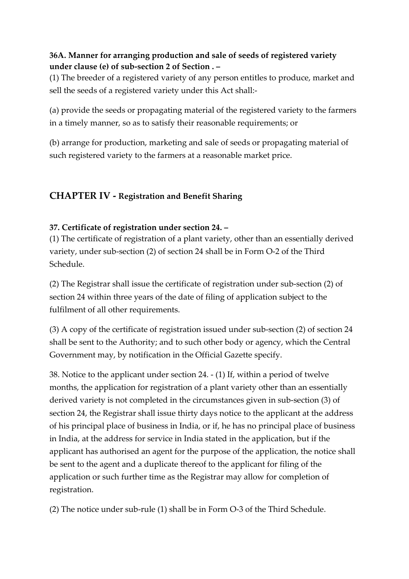### **36A. Manner for arranging production and sale of seeds of registered variety under clause (e) of sub-section 2 of Section . –**

(1) The breeder of a registered variety of any person entitles to produce, market and sell the seeds of a registered variety under this Act shall:-

(a) provide the seeds or propagating material of the registered variety to the farmers in a timely manner, so as to satisfy their reasonable requirements; or

(b) arrange for production, marketing and sale of seeds or propagating material of such registered variety to the farmers at a reasonable market price.

# **CHAPTER IV - Registration and Benefit Sharing**

### **37. Certificate of registration under section 24. –**

(1) The certificate of registration of a plant variety, other than an essentially derived variety, under sub-section (2) of section 24 shall be in Form O-2 of the Third Schedule.

(2) The Registrar shall issue the certificate of registration under sub-section (2) of section 24 within three years of the date of filing of application subject to the fulfilment of all other requirements.

(3) A copy of the certificate of registration issued under sub-section (2) of section 24 shall be sent to the Authority; and to such other body or agency, which the Central Government may, by notification in the Official Gazette specify.

38. Notice to the applicant under section 24. - (1) If, within a period of twelve months, the application for registration of a plant variety other than an essentially derived variety is not completed in the circumstances given in sub-section (3) of section 24, the Registrar shall issue thirty days notice to the applicant at the address of his principal place of business in India, or if, he has no principal place of business in India, at the address for service in India stated in the application, but if the applicant has authorised an agent for the purpose of the application, the notice shall be sent to the agent and a duplicate thereof to the applicant for filing of the application or such further time as the Registrar may allow for completion of registration.

(2) The notice under sub-rule (1) shall be in Form O-3 of the Third Schedule.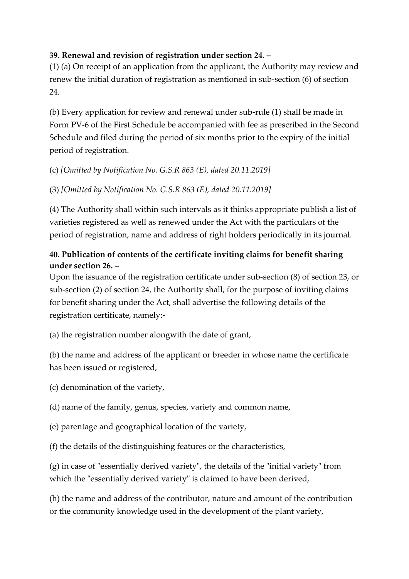### **39. Renewal and revision of registration under section 24. –**

(1) (a) On receipt of an application from the applicant, the Authority may review and renew the initial duration of registration as mentioned in sub-section (6) of section 24.

(b) Every application for review and renewal under sub-rule (1) shall be made in Form PV-6 of the First Schedule be accompanied with fee as prescribed in the Second Schedule and filed during the period of six months prior to the expiry of the initial period of registration.

(c) *[Omitted by Notification No. G.S.R 863 (E), dated 20.11.2019]*

(3) *[Omitted by Notification No. G.S.R 863 (E), dated 20.11.2019]*

(4) The Authority shall within such intervals as it thinks appropriate publish a list of varieties registered as well as renewed under the Act with the particulars of the period of registration, name and address of right holders periodically in its journal.

# **40. Publication of contents of the certificate inviting claims for benefit sharing under section 26. –**

Upon the issuance of the registration certificate under sub-section (8) of section 23, or sub-section (2) of section 24, the Authority shall, for the purpose of inviting claims for benefit sharing under the Act, shall advertise the following details of the registration certificate, namely:-

(a) the registration number alongwith the date of grant,

(b) the name and address of the applicant or breeder in whose name the certificate has been issued or registered,

(c) denomination of the variety,

(d) name of the family, genus, species, variety and common name,

(e) parentage and geographical location of the variety,

(f) the details of the distinguishing features or the characteristics,

(g) in case of "essentially derived variety", the details of the "initial variety" from which the "essentially derived variety" is claimed to have been derived,

(h) the name and address of the contributor, nature and amount of the contribution or the community knowledge used in the development of the plant variety,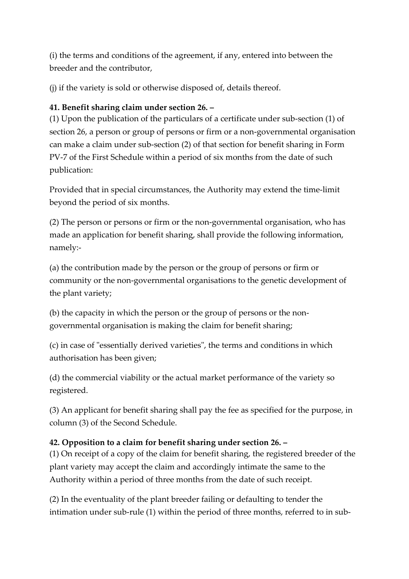(i) the terms and conditions of the agreement, if any, entered into between the breeder and the contributor,

(j) if the variety is sold or otherwise disposed of, details thereof.

# **41. Benefit sharing claim under section 26. –**

(1) Upon the publication of the particulars of a certificate under sub-section (1) of section 26, a person or group of persons or firm or a non-governmental organisation can make a claim under sub-section (2) of that section for benefit sharing in Form PV-7 of the First Schedule within a period of six months from the date of such publication:

Provided that in special circumstances, the Authority may extend the time-limit beyond the period of six months.

(2) The person or persons or firm or the non-governmental organisation, who has made an application for benefit sharing, shall provide the following information, namely:-

(a) the contribution made by the person or the group of persons or firm or community or the non-governmental organisations to the genetic development of the plant variety;

(b) the capacity in which the person or the group of persons or the nongovernmental organisation is making the claim for benefit sharing;

(c) in case of "essentially derived varieties", the terms and conditions in which authorisation has been given;

(d) the commercial viability or the actual market performance of the variety so registered.

(3) An applicant for benefit sharing shall pay the fee as specified for the purpose, in column (3) of the Second Schedule.

# **42. Opposition to a claim for benefit sharing under section 26. –**

(1) On receipt of a copy of the claim for benefit sharing, the registered breeder of the plant variety may accept the claim and accordingly intimate the same to the Authority within a period of three months from the date of such receipt.

(2) In the eventuality of the plant breeder failing or defaulting to tender the intimation under sub-rule (1) within the period of three months, referred to in sub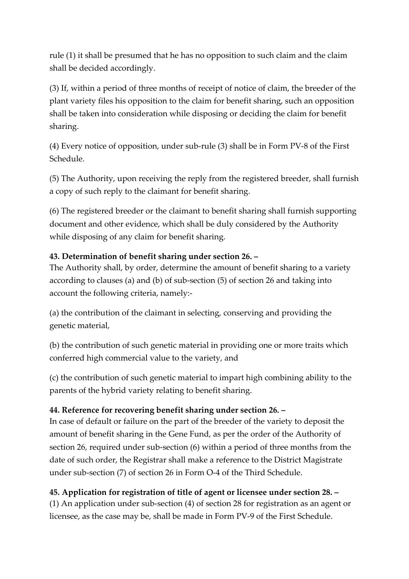rule (1) it shall be presumed that he has no opposition to such claim and the claim shall be decided accordingly.

(3) If, within a period of three months of receipt of notice of claim, the breeder of the plant variety files his opposition to the claim for benefit sharing, such an opposition shall be taken into consideration while disposing or deciding the claim for benefit sharing.

(4) Every notice of opposition, under sub-rule (3) shall be in Form PV-8 of the First Schedule.

(5) The Authority, upon receiving the reply from the registered breeder, shall furnish a copy of such reply to the claimant for benefit sharing.

(6) The registered breeder or the claimant to benefit sharing shall furnish supporting document and other evidence, which shall be duly considered by the Authority while disposing of any claim for benefit sharing.

### **43. Determination of benefit sharing under section 26. –**

The Authority shall, by order, determine the amount of benefit sharing to a variety according to clauses (a) and (b) of sub-section (5) of section 26 and taking into account the following criteria, namely:-

(a) the contribution of the claimant in selecting, conserving and providing the genetic material,

(b) the contribution of such genetic material in providing one or more traits which conferred high commercial value to the variety, and

(c) the contribution of such genetic material to impart high combining ability to the parents of the hybrid variety relating to benefit sharing.

### **44. Reference for recovering benefit sharing under section 26. –**

In case of default or failure on the part of the breeder of the variety to deposit the amount of benefit sharing in the Gene Fund, as per the order of the Authority of section 26, required under sub-section (6) within a period of three months from the date of such order, the Registrar shall make a reference to the District Magistrate under sub-section (7) of section 26 in Form O-4 of the Third Schedule.

# **45. Application for registration of title of agent or licensee under section 28. –**

(1) An application under sub-section (4) of section 28 for registration as an agent or licensee, as the case may be, shall be made in Form PV-9 of the First Schedule.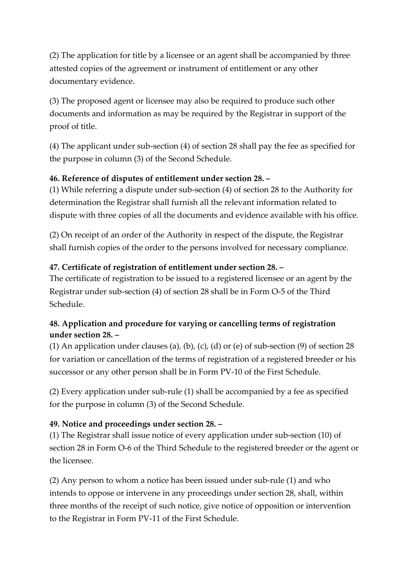(2) The application for title by a licensee or an agent shall be accompanied by three attested copies of the agreement or instrument of entitlement or any other documentary evidence.

(3) The proposed agent or licensee may also be required to produce such other documents and information as may be required by the Registrar in support of the proof of title.

(4) The applicant under sub-section (4) of section 28 shall pay the fee as specified for the purpose in column (3) of the Second Schedule.

### **46. Reference of disputes of entitlement under section 28. –**

(1) While referring a dispute under sub-section (4) of section 28 to the Authority for determination the Registrar shall furnish all the relevant information related to dispute with three copies of all the documents and evidence available with his office.

(2) On receipt of an order of the Authority in respect of the dispute, the Registrar shall furnish copies of the order to the persons involved for necessary compliance.

# **47. Certificate of registration of entitlement under section 28. –**

The certificate of registration to be issued to a registered licensee or an agent by the Registrar under sub-section (4) of section 28 shall be in Form O-5 of the Third Schedule.

# **48. Application and procedure for varying or cancelling terms of registration under section 28. –**

(1) An application under clauses (a), (b), (c), (d) or (e) of sub-section (9) of section 28 for variation or cancellation of the terms of registration of a registered breeder or his successor or any other person shall be in Form PV-10 of the First Schedule.

(2) Every application under sub-rule (1) shall be accompanied by a fee as specified for the purpose in column (3) of the Second Schedule.

# **49. Notice and proceedings under section 28. –**

(1) The Registrar shall issue notice of every application under sub-section (10) of section 28 in Form O-6 of the Third Schedule to the registered breeder or the agent or the licensee.

(2) Any person to whom a notice has been issued under sub-rule (1) and who intends to oppose or intervene in any proceedings under section 28, shall, within three months of the receipt of such notice, give notice of opposition or intervention to the Registrar in Form PV-11 of the First Schedule.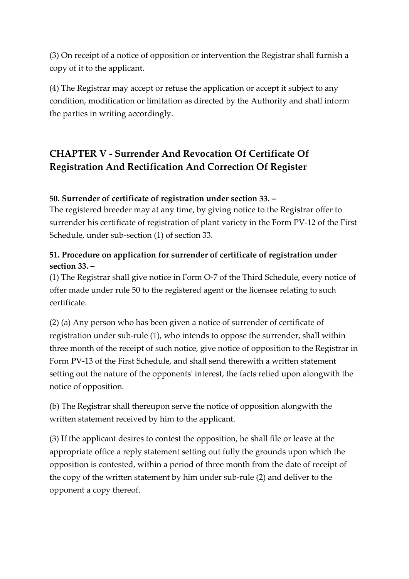(3) On receipt of a notice of opposition or intervention the Registrar shall furnish a copy of it to the applicant.

(4) The Registrar may accept or refuse the application or accept it subject to any condition, modification or limitation as directed by the Authority and shall inform the parties in writing accordingly.

# **CHAPTER V - Surrender And Revocation Of Certificate Of Registration And Rectification And Correction Of Register**

### **50. Surrender of certificate of registration under section 33. –**

The registered breeder may at any time, by giving notice to the Registrar offer to surrender his certificate of registration of plant variety in the Form PV-12 of the First Schedule, under sub-section (1) of section 33.

# **51. Procedure on application for surrender of certificate of registration under section 33. –**

(1) The Registrar shall give notice in Form O-7 of the Third Schedule, every notice of offer made under rule 50 to the registered agent or the licensee relating to such certificate.

(2) (a) Any person who has been given a notice of surrender of certificate of registration under sub-rule (1), who intends to oppose the surrender, shall within three month of the receipt of such notice, give notice of opposition to the Registrar in Form PV-13 of the First Schedule, and shall send therewith a written statement setting out the nature of the opponents' interest, the facts relied upon alongwith the notice of opposition.

(b) The Registrar shall thereupon serve the notice of opposition alongwith the written statement received by him to the applicant.

(3) If the applicant desires to contest the opposition, he shall file or leave at the appropriate office a reply statement setting out fully the grounds upon which the opposition is contested, within a period of three month from the date of receipt of the copy of the written statement by him under sub-rule (2) and deliver to the opponent a copy thereof.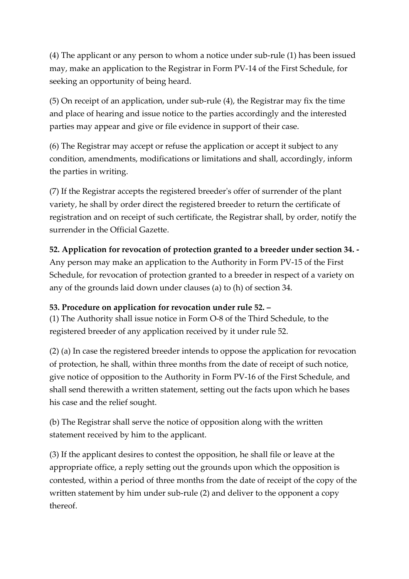(4) The applicant or any person to whom a notice under sub-rule (1) has been issued may, make an application to the Registrar in Form PV-14 of the First Schedule, for seeking an opportunity of being heard.

(5) On receipt of an application, under sub-rule (4), the Registrar may fix the time and place of hearing and issue notice to the parties accordingly and the interested parties may appear and give or file evidence in support of their case.

(6) The Registrar may accept or refuse the application or accept it subject to any condition, amendments, modifications or limitations and shall, accordingly, inform the parties in writing.

(7) If the Registrar accepts the registered breeder's offer of surrender of the plant variety, he shall by order direct the registered breeder to return the certificate of registration and on receipt of such certificate, the Registrar shall, by order, notify the surrender in the Official Gazette.

# **52. Application for revocation of protection granted to a breeder under section 34. -**

Any person may make an application to the Authority in Form PV-15 of the First Schedule, for revocation of protection granted to a breeder in respect of a variety on any of the grounds laid down under clauses (a) to (h) of section 34.

### **53. Procedure on application for revocation under rule 52. –**

(1) The Authority shall issue notice in Form O-8 of the Third Schedule, to the registered breeder of any application received by it under rule 52.

(2) (a) In case the registered breeder intends to oppose the application for revocation of protection, he shall, within three months from the date of receipt of such notice, give notice of opposition to the Authority in Form PV-16 of the First Schedule, and shall send therewith a written statement, setting out the facts upon which he bases his case and the relief sought.

(b) The Registrar shall serve the notice of opposition along with the written statement received by him to the applicant.

(3) If the applicant desires to contest the opposition, he shall file or leave at the appropriate office, a reply setting out the grounds upon which the opposition is contested, within a period of three months from the date of receipt of the copy of the written statement by him under sub-rule (2) and deliver to the opponent a copy thereof.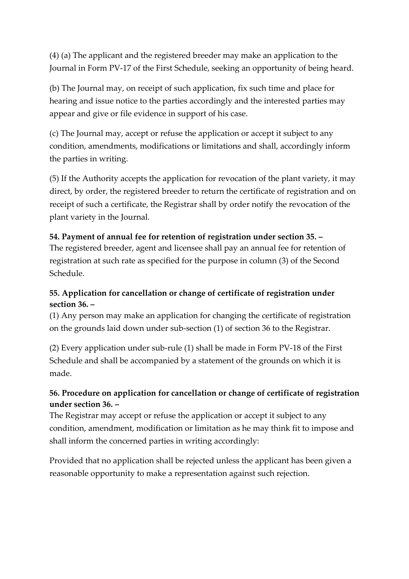(4) (a) The applicant and the registered breeder may make an application to the Journal in Form PV-17 of the First Schedule, seeking an opportunity of being heard.

(b) The Journal may, on receipt of such application, fix such time and place for hearing and issue notice to the parties accordingly and the interested parties may appear and give or file evidence in support of his case.

(c) The Journal may, accept or refuse the application or accept it subject to any condition, amendments, modifications or limitations and shall, accordingly inform the parties in writing.

(5) If the Authority accepts the application for revocation of the plant variety, it may direct, by order, the registered breeder to return the certificate of registration and on receipt of such a certificate, the Registrar shall by order notify the revocation of the plant variety in the Journal.

### **54. Payment of annual fee for retention of registration under section 35. –**

The registered breeder, agent and licensee shall pay an annual fee for retention of registration at such rate as specified for the purpose in column (3) of the Second Schedule.

### **55. Application for cancellation or change of certificate of registration under section 36. –**

(1) Any person may make an application for changing the certificate of registration on the grounds laid down under sub-section (1) of section 36 to the Registrar.

(2) Every application under sub-rule (1) shall be made in Form PV-18 of the First Schedule and shall be accompanied by a statement of the grounds on which it is made.

### **56. Procedure on application for cancellation or change of certificate of registration under section 36. –**

The Registrar may accept or refuse the application or accept it subject to any condition, amendment, modification or limitation as he may think fit to impose and shall inform the concerned parties in writing accordingly:

Provided that no application shall be rejected unless the applicant has been given a reasonable opportunity to make a representation against such rejection.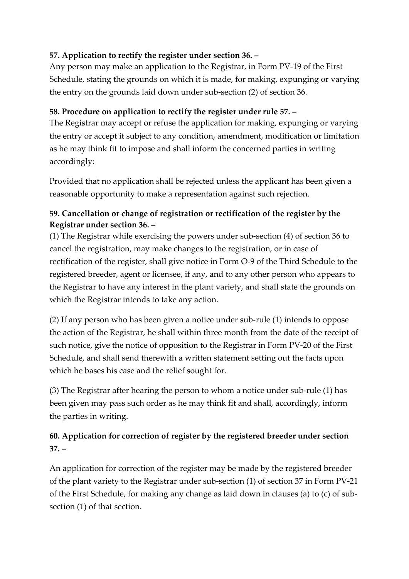# **57. Application to rectify the register under section 36. –**

Any person may make an application to the Registrar, in Form PV-19 of the First Schedule, stating the grounds on which it is made, for making, expunging or varying the entry on the grounds laid down under sub-section (2) of section 36.

### **58. Procedure on application to rectify the register under rule 57. –**

The Registrar may accept or refuse the application for making, expunging or varying the entry or accept it subject to any condition, amendment, modification or limitation as he may think fit to impose and shall inform the concerned parties in writing accordingly:

Provided that no application shall be rejected unless the applicant has been given a reasonable opportunity to make a representation against such rejection.

# **59. Cancellation or change of registration or rectification of the register by the Registrar under section 36. –**

(1) The Registrar while exercising the powers under sub-section (4) of section 36 to cancel the registration, may make changes to the registration, or in case of rectification of the register, shall give notice in Form O-9 of the Third Schedule to the registered breeder, agent or licensee, if any, and to any other person who appears to the Registrar to have any interest in the plant variety, and shall state the grounds on which the Registrar intends to take any action.

(2) If any person who has been given a notice under sub-rule (1) intends to oppose the action of the Registrar, he shall within three month from the date of the receipt of such notice, give the notice of opposition to the Registrar in Form PV-20 of the First Schedule, and shall send therewith a written statement setting out the facts upon which he bases his case and the relief sought for.

(3) The Registrar after hearing the person to whom a notice under sub-rule (1) has been given may pass such order as he may think fit and shall, accordingly, inform the parties in writing.

# **60. Application for correction of register by the registered breeder under section 37. –**

An application for correction of the register may be made by the registered breeder of the plant variety to the Registrar under sub-section (1) of section 37 in Form PV-21 of the First Schedule, for making any change as laid down in clauses (a) to (c) of subsection (1) of that section.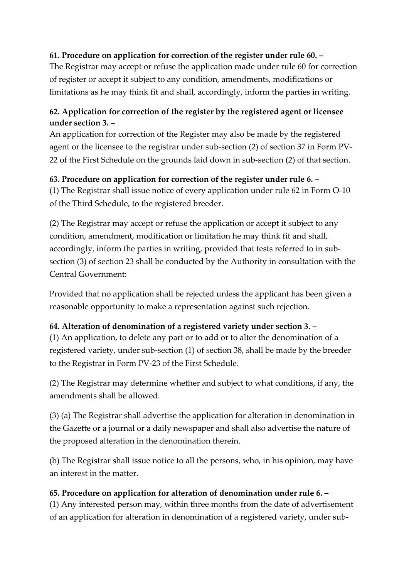### **61. Procedure on application for correction of the register under rule 60. –**

The Registrar may accept or refuse the application made under rule 60 for correction of register or accept it subject to any condition, amendments, modifications or limitations as he may think fit and shall, accordingly, inform the parties in writing.

# **62. Application for correction of the register by the registered agent or licensee under section 3. –**

An application for correction of the Register may also be made by the registered agent or the licensee to the registrar under sub-section (2) of section 37 in Form PV-22 of the First Schedule on the grounds laid down in sub-section (2) of that section.

# **63. Procedure on application for correction of the register under rule 6. –**

(1) The Registrar shall issue notice of every application under rule 62 in Form O-10 of the Third Schedule, to the registered breeder.

(2) The Registrar may accept or refuse the application or accept it subject to any condition, amendment, modification or limitation he may think fit and shall, accordingly, inform the parties in writing, provided that tests referred to in subsection (3) of section 23 shall be conducted by the Authority in consultation with the Central Government:

Provided that no application shall be rejected unless the applicant has been given a reasonable opportunity to make a representation against such rejection.

### **64. Alteration of denomination of a registered variety under section 3. –**

(1) An application, to delete any part or to add or to alter the denomination of a registered variety, under sub-section (1) of section 38, shall be made by the breeder to the Registrar in Form PV-23 of the First Schedule.

(2) The Registrar may determine whether and subject to what conditions, if any, the amendments shall be allowed.

(3) (a) The Registrar shall advertise the application for alteration in denomination in the Gazette or a journal or a daily newspaper and shall also advertise the nature of the proposed alteration in the denomination therein.

(b) The Registrar shall issue notice to all the persons, who, in his opinion, may have an interest in the matter.

### **65. Procedure on application for alteration of denomination under rule 6. –**

(1) Any interested person may, within three months from the date of advertisement of an application for alteration in denomination of a registered variety, under sub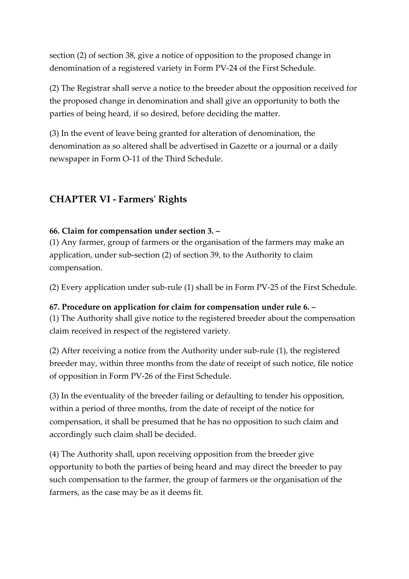section (2) of section 38, give a notice of opposition to the proposed change in denomination of a registered variety in Form PV-24 of the First Schedule.

(2) The Registrar shall serve a notice to the breeder about the opposition received for the proposed change in denomination and shall give an opportunity to both the parties of being heard, if so desired, before deciding the matter.

(3) In the event of leave being granted for alteration of denomination, the denomination as so altered shall be advertised in Gazette or a journal or a daily newspaper in Form O-11 of the Third Schedule.

# **CHAPTER VI - Farmers' Rights**

#### **66. Claim for compensation under section 3. –**

(1) Any farmer, group of farmers or the organisation of the farmers may make an application, under sub-section (2) of section 39, to the Authority to claim compensation.

(2) Every application under sub-rule (1) shall be in Form PV-25 of the First Schedule.

**67. Procedure on application for claim for compensation under rule 6. –** (1) The Authority shall give notice to the registered breeder about the compensation claim received in respect of the registered variety.

(2) After receiving a notice from the Authority under sub-rule (1), the registered breeder may, within three months from the date of receipt of such notice, file notice of opposition in Form PV-26 of the First Schedule.

(3) In the eventuality of the breeder failing or defaulting to tender his opposition, within a period of three months, from the date of receipt of the notice for compensation, it shall be presumed that he has no opposition to such claim and accordingly such claim shall be decided.

(4) The Authority shall, upon receiving opposition from the breeder give opportunity to both the parties of being heard and may direct the breeder to pay such compensation to the farmer, the group of farmers or the organisation of the farmers, as the case may be as it deems fit.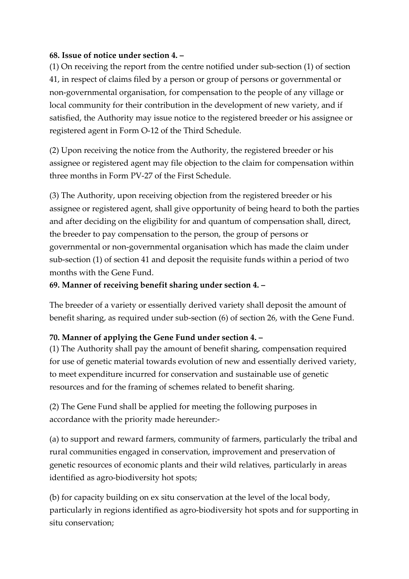#### **68. Issue of notice under section 4. –**

(1) On receiving the report from the centre notified under sub-section (1) of section 41, in respect of claims filed by a person or group of persons or governmental or non-governmental organisation, for compensation to the people of any village or local community for their contribution in the development of new variety, and if satisfied, the Authority may issue notice to the registered breeder or his assignee or registered agent in Form O-12 of the Third Schedule.

(2) Upon receiving the notice from the Authority, the registered breeder or his assignee or registered agent may file objection to the claim for compensation within three months in Form PV-27 of the First Schedule.

(3) The Authority, upon receiving objection from the registered breeder or his assignee or registered agent, shall give opportunity of being heard to both the parties and after deciding on the eligibility for and quantum of compensation shall, direct, the breeder to pay compensation to the person, the group of persons or governmental or non-governmental organisation which has made the claim under sub-section (1) of section 41 and deposit the requisite funds within a period of two months with the Gene Fund.

### **69. Manner of receiving benefit sharing under section 4. –**

The breeder of a variety or essentially derived variety shall deposit the amount of benefit sharing, as required under sub-section (6) of section 26, with the Gene Fund.

#### **70. Manner of applying the Gene Fund under section 4. –**

(1) The Authority shall pay the amount of benefit sharing, compensation required for use of genetic material towards evolution of new and essentially derived variety, to meet expenditure incurred for conservation and sustainable use of genetic resources and for the framing of schemes related to benefit sharing.

(2) The Gene Fund shall be applied for meeting the following purposes in accordance with the priority made hereunder:-

(a) to support and reward farmers, community of farmers, particularly the tribal and rural communities engaged in conservation, improvement and preservation of genetic resources of economic plants and their wild relatives, particularly in areas identified as agro-biodiversity hot spots;

(b) for capacity building on ex situ conservation at the level of the local body, particularly in regions identified as agro-biodiversity hot spots and for supporting in situ conservation;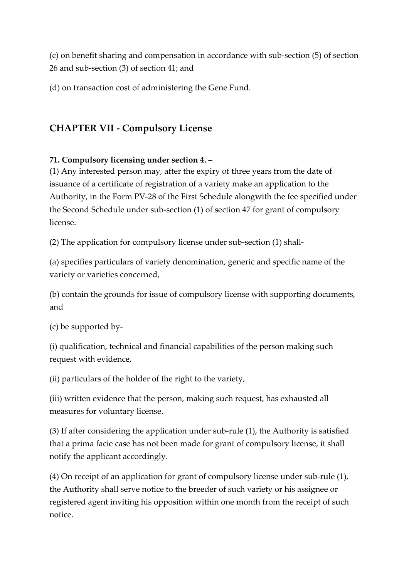(c) on benefit sharing and compensation in accordance with sub-section (5) of section 26 and sub-section (3) of section 41; and

(d) on transaction cost of administering the Gene Fund.

# **CHAPTER VII - Compulsory License**

### **71. Compulsory licensing under section 4. –**

(1) Any interested person may, after the expiry of three years from the date of issuance of a certificate of registration of a variety make an application to the Authority, in the Form PV-28 of the First Schedule alongwith the fee specified under the Second Schedule under sub-section (1) of section 47 for grant of compulsory license.

(2) The application for compulsory license under sub-section (1) shall-

(a) specifies particulars of variety denomination, generic and specific name of the variety or varieties concerned,

(b) contain the grounds for issue of compulsory license with supporting documents, and

(c) be supported by-

(i) qualification, technical and financial capabilities of the person making such request with evidence,

(ii) particulars of the holder of the right to the variety,

(iii) written evidence that the person, making such request, has exhausted all measures for voluntary license.

(3) If after considering the application under sub-rule (1), the Authority is satisfied that a prima facie case has not been made for grant of compulsory license, it shall notify the applicant accordingly.

(4) On receipt of an application for grant of compulsory license under sub-rule (1), the Authority shall serve notice to the breeder of such variety or his assignee or registered agent inviting his opposition within one month from the receipt of such notice.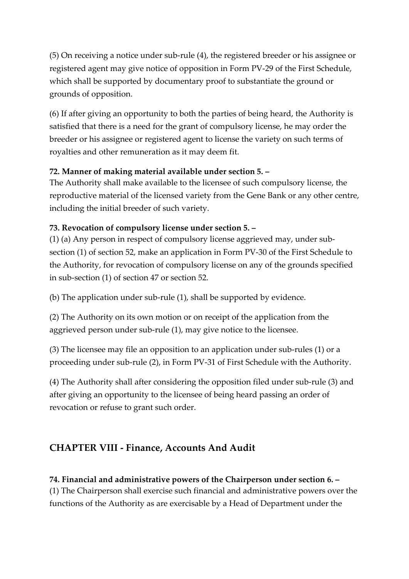(5) On receiving a notice under sub-rule (4), the registered breeder or his assignee or registered agent may give notice of opposition in Form PV-29 of the First Schedule, which shall be supported by documentary proof to substantiate the ground or grounds of opposition.

(6) If after giving an opportunity to both the parties of being heard, the Authority is satisfied that there is a need for the grant of compulsory license, he may order the breeder or his assignee or registered agent to license the variety on such terms of royalties and other remuneration as it may deem fit.

#### **72. Manner of making material available under section 5. –**

The Authority shall make available to the licensee of such compulsory license, the reproductive material of the licensed variety from the Gene Bank or any other centre, including the initial breeder of such variety.

### **73. Revocation of compulsory license under section 5. –**

(1) (a) Any person in respect of compulsory license aggrieved may, under subsection (1) of section 52, make an application in Form PV-30 of the First Schedule to the Authority, for revocation of compulsory license on any of the grounds specified in sub-section (1) of section 47 or section 52.

(b) The application under sub-rule (1), shall be supported by evidence.

(2) The Authority on its own motion or on receipt of the application from the aggrieved person under sub-rule (1), may give notice to the licensee.

(3) The licensee may file an opposition to an application under sub-rules (1) or a proceeding under sub-rule (2), in Form PV-31 of First Schedule with the Authority.

(4) The Authority shall after considering the opposition filed under sub-rule (3) and after giving an opportunity to the licensee of being heard passing an order of revocation or refuse to grant such order.

# **CHAPTER VIII - Finance, Accounts And Audit**

### **74. Financial and administrative powers of the Chairperson under section 6. –**

(1) The Chairperson shall exercise such financial and administrative powers over the functions of the Authority as are exercisable by a Head of Department under the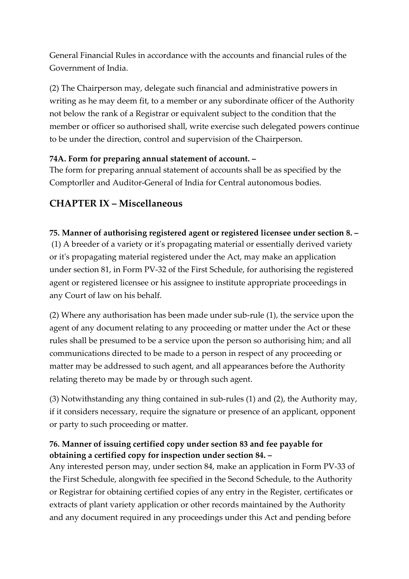General Financial Rules in accordance with the accounts and financial rules of the Government of India.

(2) The Chairperson may, delegate such financial and administrative powers in writing as he may deem fit, to a member or any subordinate officer of the Authority not below the rank of a Registrar or equivalent subject to the condition that the member or officer so authorised shall, write exercise such delegated powers continue to be under the direction, control and supervision of the Chairperson.

### **74A. Form for preparing annual statement of account. –**

The form for preparing annual statement of accounts shall be as specified by the Comptorller and Auditor-General of India for Central autonomous bodies.

# **CHAPTER IX – Miscellaneous**

### **75. Manner of authorising registered agent or registered licensee under section 8. –**

(1) A breeder of a variety or it's propagating material or essentially derived variety or it's propagating material registered under the Act, may make an application under section 81, in Form PV-32 of the First Schedule, for authorising the registered agent or registered licensee or his assignee to institute appropriate proceedings in any Court of law on his behalf.

(2) Where any authorisation has been made under sub-rule (1), the service upon the agent of any document relating to any proceeding or matter under the Act or these rules shall be presumed to be a service upon the person so authorising him; and all communications directed to be made to a person in respect of any proceeding or matter may be addressed to such agent, and all appearances before the Authority relating thereto may be made by or through such agent.

(3) Notwithstanding any thing contained in sub-rules (1) and (2), the Authority may, if it considers necessary, require the signature or presence of an applicant, opponent or party to such proceeding or matter.

### **76. Manner of issuing certified copy under section 83 and fee payable for obtaining a certified copy for inspection under section 84. –**

Any interested person may, under section 84, make an application in Form PV-33 of the First Schedule, alongwith fee specified in the Second Schedule, to the Authority or Registrar for obtaining certified copies of any entry in the Register, certificates or extracts of plant variety application or other records maintained by the Authority and any document required in any proceedings under this Act and pending before